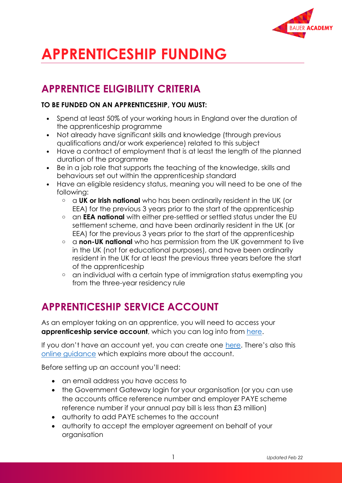

# **APPRENTICESHIP FUNDING**

## **APPRENTICE ELIGIBILITY CRITERIA**

#### **TO BE FUNDED ON AN APPRENTICESHIP, YOU MUST:**

- Spend at least 50% of your working hours in England over the duration of the apprenticeship programme
- Not already have significant skills and knowledge (through previous qualifications and/or work experience) related to this subject
- Have a contract of employment that is at least the length of the planned duration of the programme
- Be in a job role that supports the teaching of the knowledge, skills and behaviours set out within the apprenticeship standard
- Have an eligible residency status, meaning you will need to be one of the following:
	- o a **UK or Irish national** who has been ordinarily resident in the UK (or EEA) for the previous 3 years prior to the start of the apprenticeship
	- o an **EEA national** with either pre-settled or settled status under the EU settlement scheme, and have been ordinarily resident in the UK (or EEA) for the previous 3 years prior to the start of the apprenticeship
	- o a **non-UK national** who has permission from the UK government to live in the UK (not for educational purposes), and have been ordinarily resident in the UK for at least the previous three years before the start of the apprenticeship
	- o an individual with a certain type of immigration status exempting you from the three-year residency rule

# **APPRENTICESHIP SERVICE ACCOUNT**

As an employer taking on an apprentice, you will need to access your **apprenticeship service account**, which you can log into from [here.](https://beta-login.apprenticeships.education.gov.uk/identity/employer/login?id=bfbdf2533e122ce3fc067a21eba5df7a&returnUrl=https%3a%2f%2fbeta-login.apprenticeships.education.gov.uk%2fidentity%2fconnect%2fauthorize%3fclient_id%3deasaccprd%26response_type%3dcode%26scope%3dopenid%2520profile%26redirect_uri%3dhttps%253A%252F%252Faccounts.manage-apprenticeships.service.gov.uk%252Fservice%252FsignIn%26state%3d6t4BD44TDYBbCLj-IgbiUWVKRePGzvW4F6t-Qr1zENtIi0ohOX5hL6ukJ5KqAY5yIlAVMtd_8uVvMgPhfI4_MDMb89x40uRATxADACogs68VfPeIuhfnpjtb6hySRqHxf2Ufdu-L_ZEtDkZXfNo05eYqIR8PCzXwkLxJ6QO8bvLNQsnQxPv4B6m_K07FMBRe%26nonce%3ded6b0eb6580045448539547f6e183635&clientId=easaccprd)

If you don't have an account yet, you can create one [here](https://accounts.manage-apprenticeships.service.gov.uk/service/index?_ga=2.139562355.1765426235.1624006010-2145415836.1616662893). There's also this [online guidance](https://www.gov.uk/guidance/manage-apprenticeship-funds) which explains more about the account.

Before setting up an account you'll need:

- an email address you have access to
- the Government Gateway login for your organisation (or you can use the accounts office reference number and employer PAYE scheme reference number if your annual pay bill is less than £3 million)
- authority to add PAYE schemes to the account
- authority to accept the employer agreement on behalf of your organisation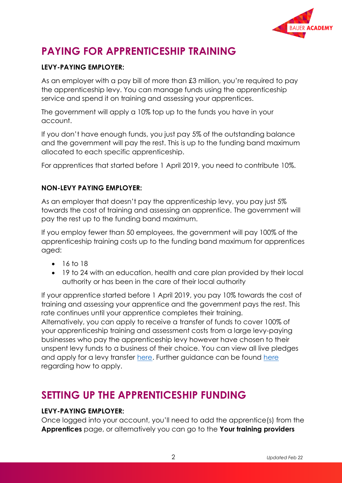

# **PAYING FOR APPRENTICESHIP TRAINING**

#### **LEVY-PAYING EMPLOYER:**

As an employer with a pay bill of more than £3 million, you're required to pay the apprenticeship levy. You can manage funds using the apprenticeship service and spend it on training and assessing your apprentices.

The government will apply a 10% top up to the funds you have in your account.

If you don't have enough funds, you just pay 5% of the outstanding balance and the government will pay the rest. This is up to the funding band maximum allocated to each specific apprenticeship.

For apprentices that started before 1 April 2019, you need to contribute 10%.

#### **NON-LEVY PAYING EMPLOYER:**

As an employer that doesn't pay the apprenticeship levy, you pay just 5% towards the cost of training and assessing an apprentice. The government will pay the rest up to the funding band maximum.

If you employ fewer than 50 employees, the government will pay 100% of the apprenticeship training costs up to the funding band maximum for apprentices aged:

- 16 to 18
- 19 to 24 with an education, health and care plan provided by their local authority or has been in the care of their local authority

If your apprentice started before 1 April 2019, you pay 10% towards the cost of training and assessing your apprentice and the government pays the rest. This rate continues until your apprentice completes their training.

Alternatively, you can apply to receive a transfer of funds to cover 100% of your apprenticeship training and assessment costs from a large levy-paying businesses who pay the apprenticeship levy however have chosen to their unspent levy funds to a business of their choice. You can view all live pledges and apply for a levy transfer [here.](https://transfers.manage-apprenticeships.service.gov.uk/) Further guidance can be found [here](https://www.gov.uk/guidance/receive-a-levy-transfer-from-another-business-to-fund-an-apprenticeship) regarding how to apply.

### **SETTING UP THE APPRENTICESHIP FUNDING**

#### **LEVY-PAYING EMPLOYER:**

Once logged into your account, you'll need to add the apprentice(s) from the **Apprentices** page, or alternatively you can go to the **Your training providers**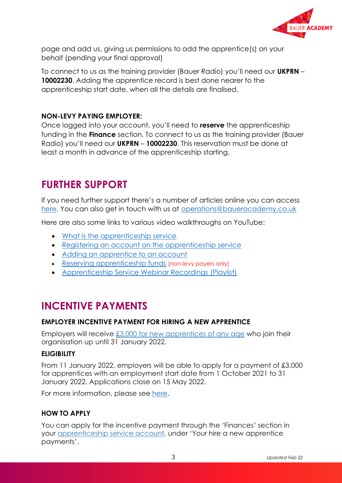

page and add us, giving us permissions to add the apprentice(s) on your behalf (pending your final approval)

To connect to us as the training provider (Bauer Radio) you'll need our **UKPRN** – **10002230**. Adding the apprentice record is best done nearer to the apprenticeship start date, when all the details are finalised.

#### **NON-LEVY PAYING EMPLOYER:**

Once logged into your account, you'll need to **reserve** the apprenticeship funding in the **Finance** section. To connect to us as the training provider (Bauer Radio) you'll need our **UKPRN** – **10002230**. This reservation must be done at least a month in advance of the apprenticeship starting.

### **FURTHER SUPPORT**

If you need further support there's a number of articles online you can access [here.](https://help.apprenticeships.education.gov.uk/hc/en-gb/sections/360001841359-Employer?page=2#articles) You can also get in touch with us at [operations@baueracademy.co.uk](mailto:operations@baueracademy.co.uk)

Here are also some links to various video walkthroughs on YouTube:

- [What is the apprenticeship service](https://www.youtube.com/watch?v=xWUFLAAc4TY&list=PLMNvQX_aIOux3SdHgg3Iw8D8dPrVHbMY7&index=3)
- [Registering an account on the apprenticeship service](https://www.youtube.com/watch?v=NC3RzRrvgoc&list=PLMNvQX_aIOux3SdHgg3Iw8D8dPrVHbMY7&index=2)
- [Adding an apprentice to an account](https://www.youtube.com/watch?v=8DMTHDcrz64&list=PLMNvQX_aIOux3SdHgg3Iw8D8dPrVHbMY7&index=6)
- [Reserving apprenticeship funds](https://www.youtube.com/watch?v=mCJxL2ncIrg&list=PLMNvQX_aIOux3SdHgg3Iw8D8dPrVHbMY7&index=5) (non-levy payers only)
- [Apprenticeship Service Webinar Recordings](https://www.youtube.com/playlist?list=PLMNvQX_aIOuzq-Fow_ApX_AdtZTQbPiQp) (Playlist)

### **INCENTIVE PAYMENTS**

#### **EMPLOYER INCENTIVE PAYMENT FOR HIRING A NEW APPRENTICE**

Employers will receive £3,000 for new [apprentices](https://www.gov.uk/guidance/incentive-payments-for-hiring-a-new-apprentice?utm_source=businessupdate&utm_medium=newsletter&utm_campaign=incentivesp2) of any age who join their organisation up until 31 January 2022.

#### **ELIGIBILITY**

From 11 January 2022, employers will be able to apply for a payment of £3,000 for apprentices with an employment start date from 1 October 2021 to 31 January 2022. Applications close on 15 May 2022.

For more information, please see [here.](https://www.gov.uk/guidance/apprenticeship-funding-rules#the-latest-rules-2021-to-2022)

#### **HOW TO APPLY**

You can apply for the incentive payment through the 'Finances' section in your [apprenticeship](https://www.apprenticeships.gov.uk/employers/create-apprenticeship-service-account?utm_source=businessupdate&utm_medium=newsletter&utm_campaign=incentivesp2) service account, under 'Your hire a new apprentice payments'.